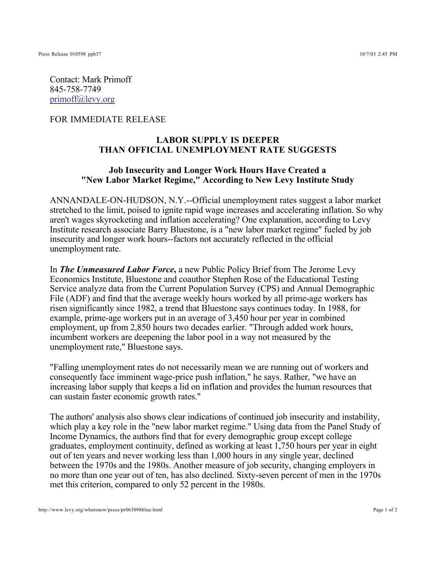Contact: Mark Primoff 845-758-7749 primoff@levy.org

FOR IMMEDIATE RELEASE

## **LABOR SUPPLY IS DEEPER THAN OFFICIAL UNEMPLOYMENT RATE SUGGESTS**

## **Job Insecurity and Longer Work Hours Have Created a "New Labor Market Regime," According to New Levy Institute Study**

ANNANDALE-ON-HUDSON, N.Y.--Official unemployment rates suggest a labor market stretched to the limit, poised to ignite rapid wage increases and accelerating inflation. So why aren't wages skyrocketing and inflation accelerating? One explanation, according to Levy Institute research associate Barry Bluestone, is a "new labor market regime" fueled by job insecurity and longer work hours--factors not accurately reflected in the official unemployment rate.

In **The Unmeasured Labor Force**, a new Public Policy Brief from The Jerome Levy Economics Institute, Bluestone and coauthor Stephen Rose of the Educational Testing Service analyze data from the Current Population Survey (CPS) and Annual Demographic File (ADF) and find that the average weekly hours worked by all prime-age workers has risen significantly since 1982, a trend that Bluestone says continues today. In 1988, for example, prime-age workers put in an average of 3,450 hour per year in combined employment, up from 2,850 hours two decades earlier. "Through added work hours, incumbent workers are deepening the labor pool in a way not measured by the unemployment rate," Bluestone says.

"Falling unemployment rates do not necessarily mean we are running out of workers and consequently face imminent wage-price push inflation," he says. Rather, "we have an increasing labor supply that keeps a lid on inflation and provides the human resources that can sustain faster economic growth rates."

The authors' analysis also shows clear indications of continued job insecurity and instability, which play a key role in the "new labor market regime." Using data from the Panel Study of Income Dynamics, the authors find that for every demographic group except college graduates, employment continuity, defined as working at least 1,750 hours per year in eight out of ten years and never working less than 1,000 hours in any single year, declined between the 1970s and the 1980s. Another measure of job security, changing employers in no more than one year out of ten, has also declined. Sixty-seven percent of men in the 1970s met this criterion, compared to only 52 percent in the 1980s.